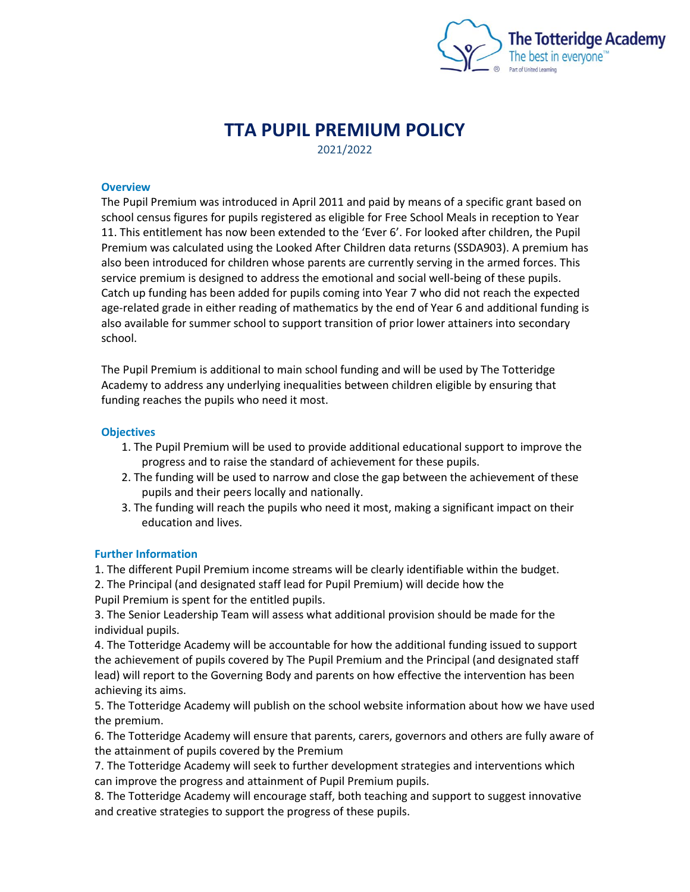

# **TTA PUPIL PREMIUM POLICY** 2021/2022

## **Overview**

The Pupil Premium was introduced in April 2011 and paid by means of a specific grant based on school census figures for pupils registered as eligible for Free School Meals in reception to Year 11. This entitlement has now been extended to the 'Ever 6'. For looked after children, the Pupil Premium was calculated using the Looked After Children data returns (SSDA903). A premium has also been introduced for children whose parents are currently serving in the armed forces. This service premium is designed to address the emotional and social well-being of these pupils. Catch up funding has been added for pupils coming into Year 7 who did not reach the expected age-related grade in either reading of mathematics by the end of Year 6 and additional funding is also available for summer school to support transition of prior lower attainers into secondary school.

The Pupil Premium is additional to main school funding and will be used by The Totteridge Academy to address any underlying inequalities between children eligible by ensuring that funding reaches the pupils who need it most.

#### **Objectives**

- 1. The Pupil Premium will be used to provide additional educational support to improve the progress and to raise the standard of achievement for these pupils.
- 2. The funding will be used to narrow and close the gap between the achievement of these pupils and their peers locally and nationally.
- 3. The funding will reach the pupils who need it most, making a significant impact on their education and lives.

### **Further Information**

1. The different Pupil Premium income streams will be clearly identifiable within the budget.

2. The Principal (and designated staff lead for Pupil Premium) will decide how the Pupil Premium is spent for the entitled pupils.

3. The Senior Leadership Team will assess what additional provision should be made for the individual pupils.

4. The Totteridge Academy will be accountable for how the additional funding issued to support the achievement of pupils covered by The Pupil Premium and the Principal (and designated staff lead) will report to the Governing Body and parents on how effective the intervention has been achieving its aims.

5. The Totteridge Academy will publish on the school website information about how we have used the premium.

6. The Totteridge Academy will ensure that parents, carers, governors and others are fully aware of the attainment of pupils covered by the Premium

7. The Totteridge Academy will seek to further development strategies and interventions which can improve the progress and attainment of Pupil Premium pupils.

8. The Totteridge Academy will encourage staff, both teaching and support to suggest innovative and creative strategies to support the progress of these pupils.